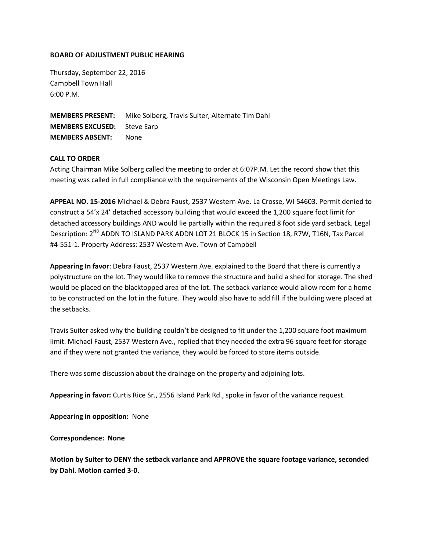## **BOARD OF ADJUSTMENT PUBLIC HEARING**

Thursday, September 22, 2016 Campbell Town Hall 6:00 P.M.

**MEMBERS PRESENT:** Mike Solberg, Travis Suiter, Alternate Tim Dahl **MEMBERS EXCUSED:** Steve Earp **MEMBERS ABSENT:** None

## **CALL TO ORDER**

Acting Chairman Mike Solberg called the meeting to order at 6:07P.M. Let the record show that this meeting was called in full compliance with the requirements of the Wisconsin Open Meetings Law.

**APPEAL NO. 15-2016** Michael & Debra Faust, 2537 Western Ave. La Crosse, WI 54603. Permit denied to construct a 54'x 24' detached accessory building that would exceed the 1,200 square foot limit for detached accessory buildings AND would lie partially within the required 8 foot side yard setback. Legal Description: 2<sup>ND</sup> ADDN TO ISLAND PARK ADDN LOT 21 BLOCK 15 in Section 18, R7W, T16N, Tax Parcel #4-551-1. Property Address: 2537 Western Ave. Town of Campbell

**Appearing In favor**: Debra Faust, 2537 Western Ave. explained to the Board that there is currently a polystructure on the lot. They would like to remove the structure and build a shed for storage. The shed would be placed on the blacktopped area of the lot. The setback variance would allow room for a home to be constructed on the lot in the future. They would also have to add fill if the building were placed at the setbacks.

Travis Suiter asked why the building couldn't be designed to fit under the 1,200 square foot maximum limit. Michael Faust, 2537 Western Ave., replied that they needed the extra 96 square feet for storage and if they were not granted the variance, they would be forced to store items outside.

There was some discussion about the drainage on the property and adjoining lots.

**Appearing in favor:** Curtis Rice Sr., 2556 Island Park Rd., spoke in favor of the variance request.

**Appearing in opposition:** None

**Correspondence: None**

**Motion by Suiter to DENY the setback variance and APPROVE the square footage variance, seconded by Dahl. Motion carried 3-0.**